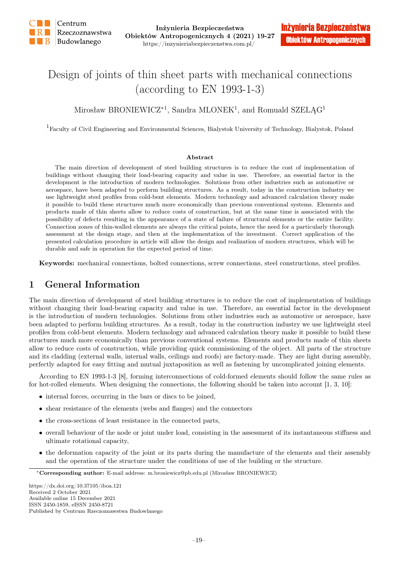

# Design of joints of thin sheet parts with mechanical connections (according to EN 1993-1-3)

Mirosław BRONIEWICZ<sup>\*1</sup>, Sandra MLONEK<sup>1</sup>, and Romuald SZELĄG<sup>1</sup>

<sup>1</sup>Faculty of Civil Engineering and Environmental Sciences, Bialystok University of Technology, Bialystok, Poland

#### Abstract

The main direction of development of steel building structures is to reduce the cost of implementation of buildings without changing their load-bearing capacity and value in use. Therefore, an essential factor in the development is the introduction of modern technologies. Solutions from other industries such as automotive or aerospace, have been adapted to perform building structures. As a result, today in the construction industry we use lightweight steel profiles from cold-bent elements. Modern technology and advanced calculation theory make it possible to build these structures much more economically than previous conventional systems. Elements and products made of thin sheets allow to reduce costs of construction, but at the same time is associated with the possibility of defects resulting in the appearance of a state of failure of structural elements or the entire facility. Connection zones of thin-walled elements are always the critical points, hence the need for a particularly thorough assessment at the design stage, and then at the implementation of the investment. Correct application of the presented calculation procedure in article will allow the design and realization of modern structures, which will be durable and safe in operation for the expected period of time.

Keywords: mechanical connections, bolted connections, screw connections, steel constructions, steel profiles.

# 1 General Information

The main direction of development of steel building structures is to reduce the cost of implementation of buildings without changing their load-bearing capacity and value in use. Therefore, an essential factor in the development is the introduction of modern technologies. Solutions from other industries such as automotive or aerospace, have been adapted to perform building structures. As a result, today in the construction industry we use lightweight steel profiles from cold-bent elements. Modern technology and advanced calculation theory make it possible to build these structures much more economically than previous conventional systems. Elements and products made of thin sheets allow to reduce costs of construction, while providing quick commissioning of the object. All parts of the structure and its cladding (external walls, internal walls, ceilings and roofs) are factory-made. They are light during assembly, perfectly adapted for easy fitting and mutual juxtaposition as well as fastening by uncomplicated joining elements.

According to EN 1993-1-3 [8], forming interconnections of cold-formed elements should follow the same rules as for hot-rolled elements. When designing the connections, the following should be taken into account [1, 3, 10]:

- internal forces, occurring in the bars or discs to be joined,
- shear resistance of the elements (webs and flanges) and the connectors
- the cross-sections of least resistance in the connected parts,
- overall behaviour of the node or joint under load, consisting in the assessment of its instantaneous stiffness and ultimate rotational capacity,
- the deformation capacity of the joint or its parts during the manufacture of the elements and their assembly and the operation of the structure under the conditions of use of the building or the structure.

https://dx.doi.org/10.37105/iboa.121 Received 2 October 2021 Available online 15 December 2021 ISSN 2450-1859, eISSN 2450-8721 Published by Centrum Rzeczoznawstwa Budowlanego

<sup>∗</sup>Corresponding author: E-mail address: m.broniewicz@pb.edu.pl (Mirosław BRONIEWICZ)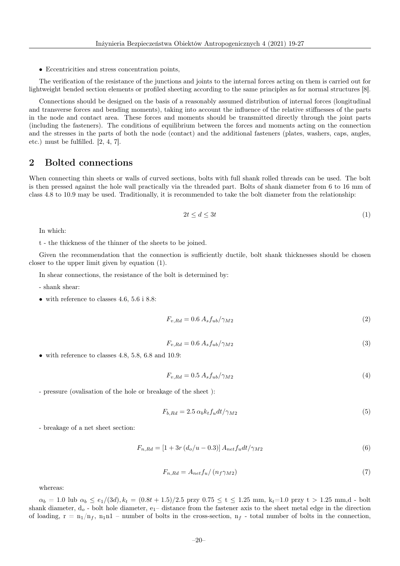• Eccentricities and stress concentration points,

The verification of the resistance of the junctions and joints to the internal forces acting on them is carried out for lightweight bended section elements or profiled sheeting according to the same principles as for normal structures [8].

Connections should be designed on the basis of a reasonably assumed distribution of internal forces (longitudinal and transverse forces and bending moments), taking into account the influence of the relative stiffnesses of the parts in the node and contact area. These forces and moments should be transmitted directly through the joint parts (including the fasteners). The conditions of equilibrium between the forces and moments acting on the connection and the stresses in the parts of both the node (contact) and the additional fasteners (plates, washers, caps, angles, etc.) must be fulfilled. [2, 4, 7].

#### 2 Bolted connections

When connecting thin sheets or walls of curved sections, bolts with full shank rolled threads can be used. The bolt is then pressed against the hole wall practically via the threaded part. Bolts of shank diameter from 6 to 16 mm of class 4.8 to 10.9 may be used. Traditionally, it is recommended to take the bolt diameter from the relationship:

$$
2t \le d \le 3t \tag{1}
$$

In which:

t - the thickness of the thinner of the sheets to be joined.

Given the recommendation that the connection is sufficiently ductile, bolt shank thicknesses should be chosen closer to the upper limit given by equation (1).

In shear connections, the resistance of the bolt is determined by:

- shank shear:

• with reference to classes 4.6, 5.6 i 8.8:

$$
F_{v, Rd} = 0.6 A_s f_{ub} / \gamma_{M2} \tag{2}
$$

$$
F_{v, Rd} = 0.6 A_s f_{ub} / \gamma_{M2} \tag{3}
$$

• with reference to classes 4.8, 5.8, 6.8 and 10.9:

$$
F_{v, Rd} = 0.5 A_s f_{ub} / \gamma_{M2} \tag{4}
$$

- pressure (ovalisation of the hole or breakage of the sheet ):

$$
F_{b,Rd} = 2.5 \alpha_b k_t f_u dt / \gamma_{M2} \tag{5}
$$

- breakage of a net sheet section:

$$
F_{n, Rd} = [1 + 3r (d_o/u - 0.3)] A_{net} f_u dt / \gamma_{M2}
$$
\n(6)

$$
F_{n,Rd} = A_{net} f_u / (n_f \gamma_{M2}) \tag{7}
$$

whereas:

 $\alpha_b = 1.0$  lub  $\alpha_b \leq e_1/(3d)$ ,  $k_t = (0.8t + 1.5)/2.5$  przy  $0.75 \leq t \leq 1.25$  mm,  $k_t=1.0$  przy  $t > 1.25$  mm,d - bolt shank diameter,  $d_0$  - bolt hole diameter,  $e_1$  distance from the fastener axis to the sheet metal edge in the direction of loading,  $r = n_1/n_f$ ,  $n_1n_1$  – number of bolts in the cross-section,  $n_f$  - total number of bolts in the connection,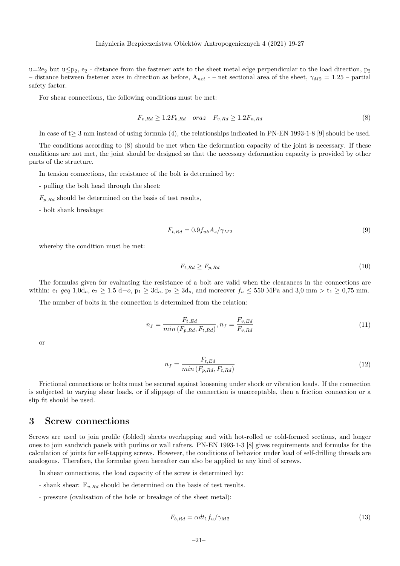u=2e<sub>2</sub> but u $\leq$  p<sub>2</sub>, e<sub>2</sub> - distance from the fastener axis to the sheet metal edge perpendicular to the load direction, p<sub>2</sub> – distance between fastener axes in direction as before,  $A_{net}$  - – net sectional area of the sheet,  $\gamma_{M2} = 1.25$  – partial safety factor.

For shear connections, the following conditions must be met:

$$
F_{v, Rd} \ge 1.2F_{b, Rd} \quad or az \quad F_{v, Rd} \ge 1.2F_{n, Rd} \tag{8}
$$

In case of t≥ 3 mm instead of using formula (4), the relationships indicated in PN-EN 1993-1-8 [9] should be used.

The conditions according to (8) should be met when the deformation capacity of the joint is necessary. If these conditions are not met, the joint should be designed so that the necessary deformation capacity is provided by other parts of the structure.

In tension connections, the resistance of the bolt is determined by:

- pulling the bolt head through the sheet:

 $F_{p, Rd}$  should be determined on the basis of test results,

- bolt shank breakage:

$$
F_{t, Rd} = 0.9f_{ub}A_s/\gamma_{M2} \tag{9}
$$

whereby the condition must be met:

$$
F_{t, Rd} \ge F_{p, Rd} \tag{10}
$$

The formulas given for evaluating the resistance of a bolt are valid when the clearances in the connections are within:  $e_1$  geq  $1,0d_0$ ,  $e_2 \ge 1.5$  d−o,  $p_1 \ge 3d_0$ ,  $p_2 \ge 3d_0$ , and moreover  $f_u \le 550$  MPa and 3,0 mm >  $t_1 \ge 0.75$  mm.

The number of bolts in the connection is determined from the relation:

$$
n_f = \frac{F_{t, Ed}}{\min\left(F_{p, Rd}, F_{t, Rd}\right)}, n_f = \frac{F_{v, Ed}}{F_{v, Rd}}\tag{11}
$$

or

$$
n_f = \frac{F_{t, Ed}}{\min\left(F_{p, Rd}, F_{t, Rd}\right)}\tag{12}
$$

Frictional connections or bolts must be secured against loosening under shock or vibration loads. If the connection is subjected to varying shear loads, or if slippage of the connection is unacceptable, then a friction connection or a slip fit should be used.

#### 3 Screw connections

Screws are used to join profile (folded) sheets overlapping and with hot-rolled or cold-formed sections, and longer ones to join sandwich panels with purlins or wall rafters. PN-EN 1993-1-3 [8] gives requirements and formulas for the calculation of joints for self-tapping screws. However, the conditions of behavior under load of self-drilling threads are analogous. Therefore, the formulae given hereafter can also be applied to any kind of screws.

In shear connections, the load capacity of the screw is determined by:

- shank shear:  $F_{v,Rd}$  should be determined on the basis of test results.
- pressure (ovalisation of the hole or breakage of the sheet metal):

$$
F_{b,Rd} = \alpha dt_1 f_u / \gamma_{M2} \tag{13}
$$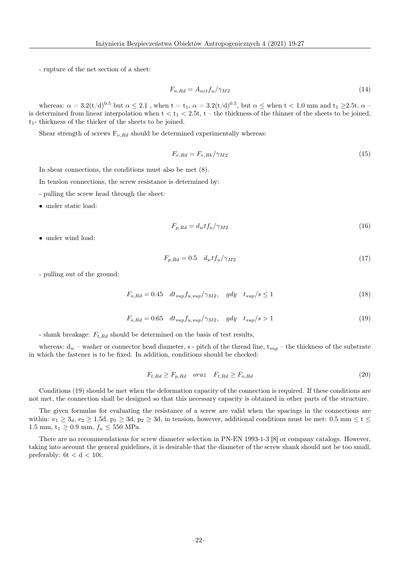- rupture of the net section of a sheet:

$$
F_{n, Rd} = A_{net} f_u / \gamma_{M2} \tag{14}
$$

whereas:  $\alpha = 3.2 (t/d)^{0.5}$  but  $\alpha \leq 2.1$  , when  $t = t_1$ ,  $\alpha = 3.2 (t/d)^{0.5}$ , but  $\alpha \leq$  when  $t < 1.0$  mm and  $t_1 \geq 2.5t$ ,  $\alpha$  is determined from linear interpolation when  $t < t_1 < 2.5t$ ,  $t$  – the thickness of the thinner of the sheets to be joined,  $t_1$ - thickness of the thicker of the sheets to be joined.

Shear strength of screws  $F_{v,Rd}$  should be determined experimentally whereas:

$$
F_{v, Rd} = F_{v, Rk} / \gamma_{M2} \tag{15}
$$

In shear connections, the conditions must also be met (8).

In tension connections, the screw resistance is determined by:

- pulling the screw head through the sheet:
- under static load:

$$
F_{p, Rd} = d_w t f_u / \gamma_{M2} \tag{16}
$$

• under wind load:

$$
F_{p, Rd} = 0.5 \quad d_w t f_u / \gamma_{M2} \tag{17}
$$

- pulling out of the ground:

$$
F_{o, Rd} = 0.45 \quad dt_{sup} f_{u, sup} / \gamma_{M2}, \quad gdy \quad t_{sup} / s \le 1 \tag{18}
$$

$$
F_{o, Rd} = 0.65 \quad dt_{sup} f_{u, sup} / \gamma_{M2}, \quad gdy \quad t_{sup} / s > 1 \tag{19}
$$

- shank breakage:  $F_{t,Rd}$  should be determined on the basis of test results,

whereas:  $d_w$  – washer or connector head diameter, s - pitch of the thread line,  $t_{sup}$  – the thickness of the substrate in which the fastener is to be fixed. In addition, conditions should be checked:

$$
F_{t, Rd} \ge F_{p, Rd} \quad or az \quad F_{t, Rd} \ge F_{o, Rd} \tag{20}
$$

Conditions (19) should be met when the deformation capacity of the connection is required. If these conditions are not met, the connection shall be designed so that this necessary capacity is obtained in other parts of the structure.

The given formulas for evaluating the resistance of a screw are valid when the spacings in the connections are within:  $e_1 \geq 3_d$ ,  $e_2 \geq 1.5d$ ,  $p_1 \geq 3d$ ,  $p_2 \geq 3d$ , in tension, however, additional conditions must be met: 0.5 mm  $\leq t \leq$ 1.5 mm,  $t_1 \ge 0.9$  mm,  $f_u \le 550$  MPa.

There are no recommendations for screw diameter selection in PN-EN 1993-1-3 [8] or company catalogs. However, taking into account the general guidelines, it is desirable that the diameter of the screw shank should not be too small, preferably:  $6t < d < 10t$ .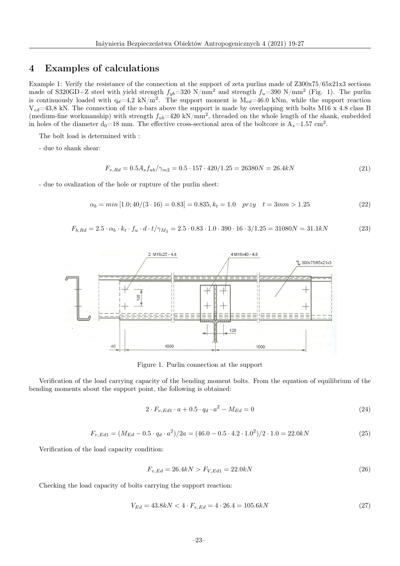## 4 Examples of calculations

Example 1: Verify the resistance of the connection at the support of zeta purlins made of Z300x75/65x21x3 sections made of S320GD+Z steel with yield strength  $f_{yb}=320 \text{ N/mm}^2$  and strength  $f_{u}=390 \text{ N/mm}^2$  (Fig. 1). The purlin is continuously loaded with  $q_d=4.2 \text{ kN/m}^2$ . The support moment is  $M_{ed}=46.0 \text{ kNm}$ , while the support reaction  $V_{ed}$ =43,8 kN. The connection of the z-bars above the support is made by overlapping with bolts M16 x 4.8 class B (medium-fine workmanship) with strength  $f_{ub} = 420 \text{ kN/mm}^2$ , threaded on the whole length of the shank, embedded in holes of the diameter  $d_0=18$  mm. The effective cross-sectional area of the boltcore is  $A_s=1.57$  cm<sup>2</sup>.

The bolt load is determined with :

- due to shank shear:

$$
F_{v, Rd} = 0.5A_s f_{ub} / \gamma_{m2} = 0.5 \cdot 157 \cdot 420 / 1.25 = 26380 N = 26.4 kN \tag{21}
$$

- due to ovalization of the hole or rupture of the purlin sheet:

$$
\alpha_b = \min\left[1.0; 40/(3 \cdot 16) = 0.83\right] = 0.835, k_t = 1.0 \quad przy \quad t = 3mm > 1.25 \tag{22}
$$

$$
F_{b,Rd} = 2.5 \cdot \alpha_b \cdot k_t \cdot f_u \cdot d \cdot t / \gamma_{M_2} = 2.5 \cdot 0.83 \cdot 1.0 \cdot 390 \cdot 16 \cdot 3 / 1.25 = 31080N = 31.1kN
$$
\n(23)



Figure 1. Purlin connection at the support

Verification of the load carrying capacity of the bending moment bolts. From the equation of equilibrium of the bending moments about the support point, the following is obtained:

$$
2 \cdot F_{v, Ed1} \cdot a + 0.5 \cdot q_d \cdot a^2 - M_{Ed} = 0 \tag{24}
$$

$$
F_{v,Ed1} = (M_{Ed} - 0.5 \cdot q_d \cdot a^2)/2a = (46.0 - 0.5 \cdot 4.2 \cdot 1.0^2)/2 \cdot 1.0 = 22.0kN
$$
\n(25)

Verification of the load capacity condition:

$$
F_{v,Ed} = 26.4kN > F_{V,Ed1} = 22.0kN
$$
\n<sup>(26)</sup>

Checking the load capacity of bolts carrying the support reaction:

$$
V_{Ed} = 43.8kN < 4 \cdot F_{v, Ed} = 4 \cdot 26.4 = 105.6kN
$$
\n
$$
(27)
$$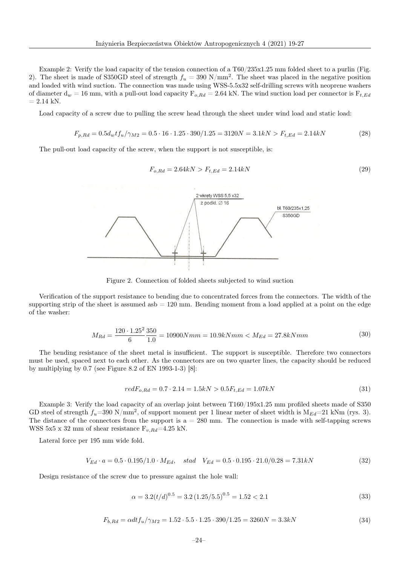Example 2: Verify the load capacity of the tension connection of a T60/235x1.25 mm folded sheet to a purlin (Fig. 2). The sheet is made of S350GD steel of strength  $f_u = 390 \text{ N/mm}^2$ . The sheet was placed in the negative position and loaded with wind suction. The connection was made using WSS-5.5x32 self-drilling screws with neoprene washers of diameter  $d_w = 16$  mm, with a pull-out load capacity  $F_{\alpha, Bd} = 2.64$  kN. The wind suction load per connector is  $F_{t, Ed}$  $= 2.14$  kN.

Load capacity of a screw due to pulling the screw head through the sheet under wind load and static load:

$$
F_{p, Rd} = 0.5d_w t f_u / \gamma_{M2} = 0.5 \cdot 16 \cdot 1.25 \cdot 390 / 1.25 = 3120N = 3.1kN > F_{t, Ed} = 2.14kN \tag{28}
$$

The pull-out load capacity of the screw, when the support is not susceptible, is:

$$
F_{o, Rd} = 2.64kN > F_{t, Ed} = 2.14kN
$$
\n(29)



Figure 2. Connection of folded sheets subjected to wind suction

Verification of the support resistance to bending due to concentrated forces from the connectors. The width of the supporting strip of the sheet is assumed asb  $= 120$  mm. Bending moment from a load applied at a point on the edge of the washer:

$$
M_{Rd} = \frac{120 \cdot 1.25^2}{6} \frac{350}{1.0} = 10900 Nmm = 10.9k Nmm < M_{Ed} = 27.8k Nmm
$$
\n(30)

The bending resistance of the sheet metal is insufficient. The support is susceptible. Therefore two connectors must be used, spaced next to each other. As the connectors are on two quarter lines, the capacity should be reduced by multiplying by 0.7 (see Figure 8.2 of EN 1993-1-3) [8]:

$$
redF_{o, Rd} = 0.7 \cdot 2.14 = 1.5kN > 0.5F_{t, Ed} = 1.07kN
$$
\n(31)

Example 3: Verify the load capacity of an overlap joint between T160/195x1.25 mm profiled sheets made of S350 GD steel of strength  $f_u$ =390 N/mm<sup>2</sup>, of support moment per 1 linear meter of sheet width is  $M_{Ed}$ =21 kNm (rys. 3). The distance of the connectors from the support is  $a = 280$  mm. The connection is made with self-tapping screws WSS 5x5 x 32 mm of shear resistance  $F_{v, Rd} = 4.25$  kN.

Lateral force per 195 mm wide fold.

$$
V_{Ed} \cdot a = 0.5 \cdot 0.195/1.0 \cdot M_{Ed}, \quad stad \quad V_{Ed} = 0.5 \cdot 0.195 \cdot 21.0/0.28 = 7.31kN \tag{32}
$$

Design resistance of the screw due to pressure against the hole wall:

$$
\alpha = 3.2(t/d)^{0.5} = 3.2 (1.25/5.5)^{0.5} = 1.52 < 2.1
$$
\n(33)

$$
F_{b,Rd} = \alpha dt f_u / \gamma_{M2} = 1.52 \cdot 5.5 \cdot 1.25 \cdot 390 / 1.25 = 3260 N = 3.3 kN \tag{34}
$$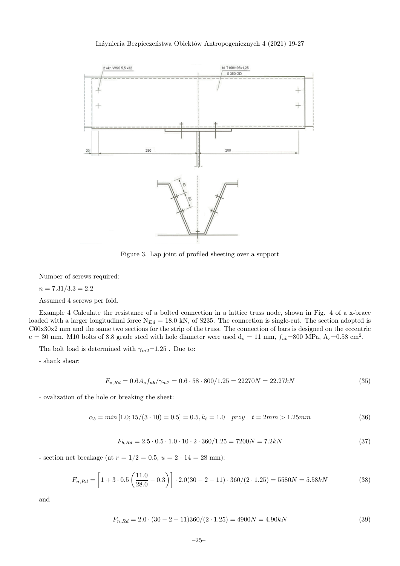

Figure 3. Lap joint of profiled sheeting over a support

Number of screws required:

$$
n = 7.31/3.3 = 2.2
$$

Assumed 4 screws per fold.

Example 4 Calculate the resistance of a bolted connection in a lattice truss node, shown in Fig. 4 of a x-brace loaded with a larger longitudinal force  $N_{Ed} = 18.0$  kN, of S235. The connection is single-cut. The section adopted is C60x30x2 mm and the same two sections for the strip of the truss. The connection of bars is designed on the eccentric  $e = 30$  mm. M10 bolts of 8.8 grade steel with hole diameter were used  $d_o = 11$  mm,  $f_{ub} = 800$  MPa,  $A_s = 0.58$  cm<sup>2</sup>.

The bolt load is determined with  $\gamma_{m2}=1.25$ . Due to:

- shank shear:

$$
F_{v, Rd} = 0.6A_s f_{ub} / \gamma_{m2} = 0.6 \cdot 58 \cdot 800 / 1.25 = 22270N = 22.27kN
$$
\n(35)

- ovalization of the hole or breaking the sheet:

$$
\alpha_b = \min\left[1.0; 15/(3 \cdot 10) = 0.5\right] = 0.5, k_t = 1.0 \quad przy \quad t = 2mm > 1.25mm \tag{36}
$$

$$
F_{b, Rd} = 2.5 \cdot 0.5 \cdot 1.0 \cdot 10 \cdot 2 \cdot 360 / 1.25 = 7200 N = 7.2 kN
$$
\n
$$
(37)
$$

- section net breakage (at  $r = 1/2 = 0.5$ ,  $u = 2 \cdot 14 = 28$  mm):

$$
F_{n,Rd} = \left[1 + 3 \cdot 0.5 \left(\frac{11.0}{28.0} - 0.3\right)\right] \cdot 2.0(30 - 2 - 11) \cdot 360/(2 \cdot 1.25) = 5580N = 5.58kN\tag{38}
$$

and

$$
F_{n, Rd} = 2.0 \cdot (30 - 2 - 11)360/(2 \cdot 1.25) = 4900N = 4.90kN
$$
\n(39)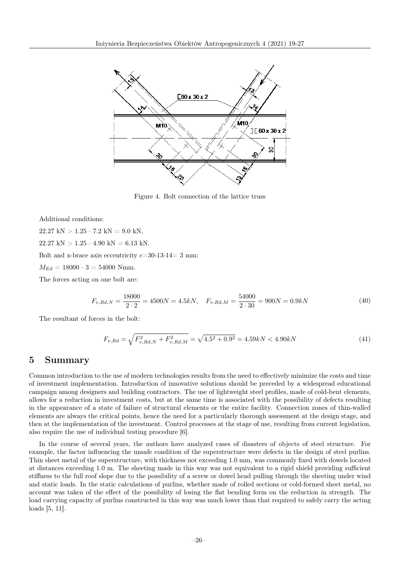

Figure 4. Bolt connection of the lattice truss

Additional conditions:

22.27 kN  $> 1.25 \cdot 7.2$  kN  $= 9.0$  kN,  $22.27 \text{ kN} > 1.25 \cdot 4.90 \text{ kN} = 6.13 \text{ kN}.$ Bolt and x-brace axis eccentricity  $e=30-13-14=3$  mm:  $M_{Ed} = 18000 \cdot 3 = 54000$  Nmm.

The forces acting on one bolt are:

$$
F_{v, Rd, N} = \frac{18000}{2 \cdot 2} = 4500N = 4.5kN, \quad F_{v, Rd, M} = \frac{54000}{2 \cdot 30} = 900N = 0.9kN
$$
\n
$$
(40)
$$

The resultant of forces in the bolt:

$$
F_{v, Rd} = \sqrt{F_{v, Rd, N}^2 + F_{v, Rd, M}^2} = \sqrt{4.5^2 + 0.9^2} = 4.59kN < 4.90kN
$$
\n(41)

#### 5 Summary

Common introduction to the use of modern technologies results from the need to effectively minimize the costs and time of investment implementation. Introduction of innovative solutions should be preceded by a widespread educational campaign among designers and building contractors. The use of lightweight steel profiles, made of cold-bent elements, allows for a reduction in investment costs, but at the same time is associated with the possibility of defects resulting in the appearance of a state of failure of structural elements or the entire facility. Connection zones of thin-walled elements are always the critical points, hence the need for a particularly thorough assessment at the design stage, and then at the implementation of the investment. Control processes at the stage of use, resulting from current legislation, also require the use of individual testing procedure [6].

In the course of several years, the authors have analyzed cases of disasters of objects of steel structure. For example, the factor influencing the unsafe condition of the superstructure were defects in the design of steel purlins. Thin sheet metal of the superstructure, with thickness not exceeding 1.0 mm, was commonly fixed with dowels located at distances exceeding 1.0 m. The sheeting made in this way was not equivalent to a rigid shield providing sufficient stiffness to the full roof slope due to the possibility of a screw or dowel head pulling through the sheeting under wind and static loads. In the static calculations of purlins, whether made of rolled sections or cold-formed sheet metal, no account was taken of the effect of the possibility of losing the flat bending form on the reduction in strength. The load carrying capacity of purlins constructed in this way was much lower than that required to safely carry the acting loads [5, 11].